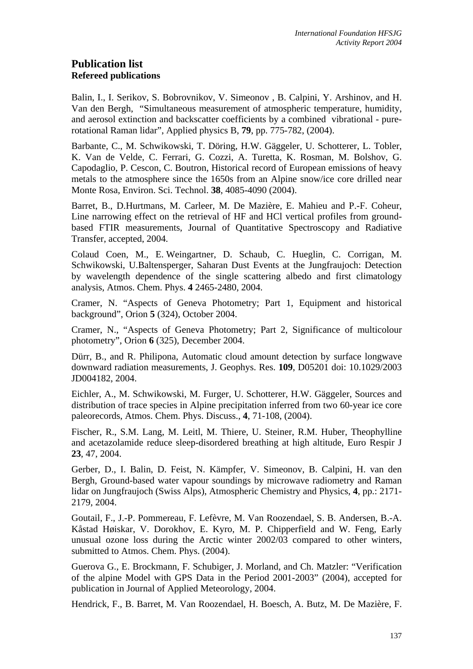# **Publication list Refereed publications**

Balin, I., I. Serikov, S. Bobrovnikov, V. Simeonov , B. Calpini, Y. Arshinov, and H. Van den Bergh, "Simultaneous measurement of atmospheric temperature, humidity, and aerosol extinction and backscatter coefficients by a combined vibrational - purerotational Raman lidar", Applied physics B, **79**, pp. 775-782, (2004).

Barbante, C., M. Schwikowski, T. Döring, H.W. Gäggeler, U. Schotterer, L. Tobler, K. Van de Velde, C. Ferrari, G. Cozzi, A. Turetta, K. Rosman, M. Bolshov, G. Capodaglio, P. Cescon, C. Boutron, Historical record of European emissions of heavy metals to the atmosphere since the 1650s from an Alpine snow/ice core drilled near Monte Rosa, Environ. Sci. Technol. **38**, 4085-4090 (2004).

Barret, B., D.Hurtmans, M. Carleer, M. De Mazière, E. Mahieu and P.-F. Coheur, Line narrowing effect on the retrieval of HF and HCl vertical profiles from groundbased FTIR measurements, Journal of Quantitative Spectroscopy and Radiative Transfer, accepted, 2004.

Colaud Coen, M., E. Weingartner, D. Schaub, C. Hueglin, C. Corrigan, M. Schwikowski, U.Baltensperger, Saharan Dust Events at the Jungfraujoch: Detection by wavelength dependence of the single scattering albedo and first climatology analysis, Atmos. Chem. Phys. **4** 2465-2480, 2004.

Cramer, N. "Aspects of Geneva Photometry; Part 1, Equipment and historical background", Orion **5** (324), October 2004.

Cramer, N., "Aspects of Geneva Photometry; Part 2, Significance of multicolour photometry", Orion **6** (325), December 2004.

Dürr, B., and R. Philipona, Automatic cloud amount detection by surface longwave downward radiation measurements, J. Geophys. Res. **109**, D05201 doi: 10.1029/2003 JD004182, 2004.

Eichler, A., M. Schwikowski, M. Furger, U. Schotterer, H.W. Gäggeler, Sources and distribution of trace species in Alpine precipitation inferred from two 60-year ice core paleorecords, Atmos. Chem. Phys. Discuss., **4**, 71-108, (2004).

Fischer, R., S.M. Lang, M. Leitl, M. Thiere, U. Steiner, R.M. Huber, Theophylline and acetazolamide reduce sleep-disordered breathing at high altitude, Euro Respir J **23**, 47, 2004.

Gerber, D., I. Balin, D. Feist, N. Kämpfer, V. Simeonov, B. Calpini, H. van den Bergh, Ground-based water vapour soundings by microwave radiometry and Raman lidar on Jungfraujoch (Swiss Alps), Atmospheric Chemistry and Physics, **4**, pp.: 2171- 2179, 2004.

Goutail, F., J.-P. Pommereau, F. Lefèvre, M. Van Roozendael, S. B. Andersen, B.-A. Kåstad Høiskar, V. Dorokhov, E. Kyro, M. P. Chipperfield and W. Feng, Early unusual ozone loss during the Arctic winter 2002/03 compared to other winters, submitted to Atmos. Chem. Phys. (2004).

Guerova G., E. Brockmann, F. Schubiger, J. Morland, and Ch. Matzler: "Verification of the alpine Model with GPS Data in the Period 2001-2003" (2004), accepted for publication in Journal of Applied Meteorology, 2004.

Hendrick, F., B. Barret, M. Van Roozendael, H. Boesch, A. Butz, M. De Mazière, F.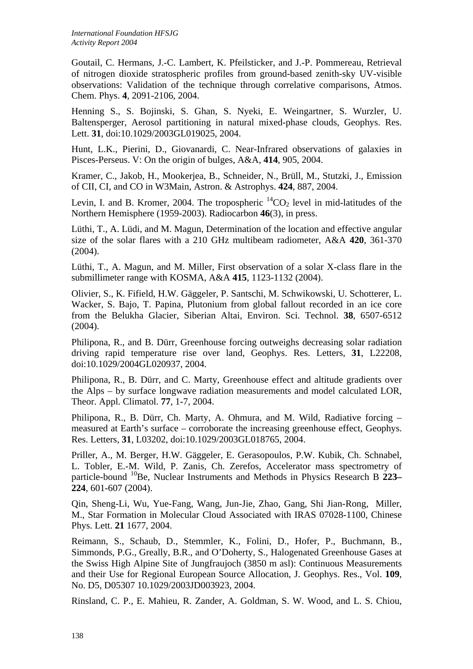Goutail, C. Hermans, J.-C. Lambert, K. Pfeilsticker, and J.-P. Pommereau, Retrieval of nitrogen dioxide stratospheric profiles from ground-based zenith-sky UV-visible observations: Validation of the technique through correlative comparisons, Atmos. Chem. Phys. **4**, 2091-2106, 2004.

Henning S., S. Bojinski, S. Ghan, S. Nyeki, E. Weingartner, S. Wurzler, U. Baltensperger, Aerosol partitioning in natural mixed-phase clouds, Geophys. Res. Lett. **31**, doi:10.1029/2003GL019025, 2004.

Hunt, L.K., Pierini, D., Giovanardi, C. Near-Infrared observations of galaxies in Pisces-Perseus. V: On the origin of bulges, A&A, **414**, 905, 2004.

Kramer, C., Jakob, H., Mookerjea, B., Schneider, N., Brüll, M., Stutzki, J., Emission of CII, CI, and CO in W3Main, Astron. & Astrophys. **424**, 887, 2004.

Levin, I. and B. Kromer, 2004. The tropospheric  ${}^{14}CO_2$  level in mid-latitudes of the Northern Hemisphere (1959-2003). Radiocarbon **46**(3), in press.

Lüthi, T., A. Lüdi, and M. Magun, Determination of the location and effective angular size of the solar flares with a 210 GHz multibeam radiometer, A&A **420**, 361-370  $(2004)$ .

Lüthi, T., A. Magun, and M. Miller, First observation of a solar X-class flare in the submillimeter range with KOSMA, A&A **415**, 1123-1132 (2004).

Olivier, S., K. Fifield, H.W. Gäggeler, P. Santschi, M. Schwikowski, U. Schotterer, L. Wacker, S. Bajo, T. Papina, Plutonium from global fallout recorded in an ice core from the Belukha Glacier, Siberian Altai, Environ. Sci. Technol. **38**, 6507-6512 (2004).

Philipona, R., and B. Dürr, Greenhouse forcing outweighs decreasing solar radiation driving rapid temperature rise over land, Geophys. Res. Letters, **31**, L22208, doi:10.1029/2004GL020937, 2004.

Philipona, R., B. Dürr, and C. Marty, Greenhouse effect and altitude gradients over the Alps – by surface longwave radiation measurements and model calculated LOR, Theor. Appl. Climatol. **77**, 1-7, 2004.

Philipona, R., B. Dürr, Ch. Marty, A. Ohmura, and M. Wild, Radiative forcing – measured at Earth's surface – corroborate the increasing greenhouse effect, Geophys. Res. Letters, **31**, L03202, doi:10.1029/2003GL018765, 2004.

Priller, A., M. Berger, H.W. Gäggeler, E. Gerasopoulos, P.W. Kubik, Ch. Schnabel, L. Tobler, E.-M. Wild, P. Zanis, Ch. Zerefos, Accelerator mass spectrometry of particle-bound 10Be, Nuclear Instruments and Methods in Physics Research B **223– 224**, 601-607 (2004).

Qin, Sheng-Li, Wu, Yue-Fang, Wang, Jun-Jie, Zhao, Gang, Shi Jian-Rong, Miller, M., Star Formation in Molecular Cloud Associated with IRAS 07028-1100, Chinese Phys. Lett. **21** 1677, 2004.

Reimann, S., Schaub, D., Stemmler, K., Folini, D., Hofer, P., Buchmann, B., Simmonds, P.G., Greally, B.R., and O'Doherty, S., Halogenated Greenhouse Gases at the Swiss High Alpine Site of Jungfraujoch (3850 m asl): Continuous Measurements and their Use for Regional European Source Allocation, J. Geophys. Res., Vol. **109**, No. D5, D05307 10.1029/2003JD003923, 2004.

Rinsland, C. P., E. Mahieu, R. Zander, A. Goldman, S. W. Wood, and L. S. Chiou,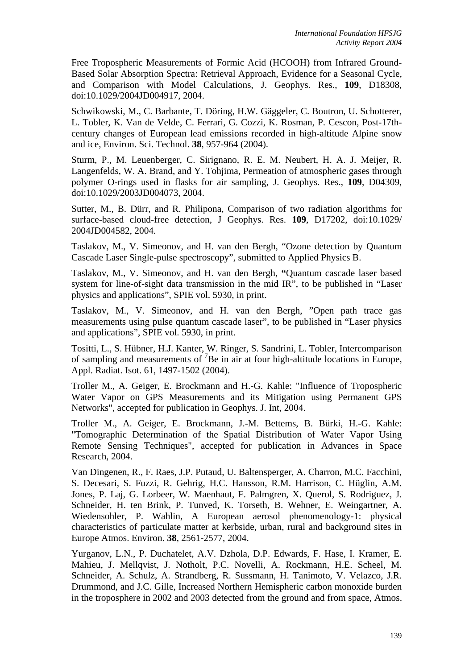Free Tropospheric Measurements of Formic Acid (HCOOH) from Infrared Ground-Based Solar Absorption Spectra: Retrieval Approach, Evidence for a Seasonal Cycle, and Comparison with Model Calculations, J. Geophys. Res., **109**, D18308, doi:10.1029/2004JD004917, 2004.

Schwikowski, M., C. Barbante, T. Döring, H.W. Gäggeler, C. Boutron, U. Schotterer, L. Tobler, K. Van de Velde, C. Ferrari, G. Cozzi, K. Rosman, P. Cescon, Post-17thcentury changes of European lead emissions recorded in high-altitude Alpine snow and ice, Environ. Sci. Technol. **38**, 957-964 (2004).

Sturm, P., M. Leuenberger, C. Sirignano, R. E. M. Neubert, H. A. J. Meijer, R. Langenfelds, W. A. Brand, and Y. Tohjima, Permeation of atmospheric gases through polymer O-rings used in flasks for air sampling, J. Geophys. Res., **109**, D04309, doi:10.1029/2003JD004073, 2004.

Sutter, M., B. Dürr, and R. Philipona, Comparison of two radiation algorithms for surface-based cloud-free detection, J Geophys. Res. **109**, D17202, doi:10.1029/ 2004JD004582, 2004.

Taslakov, M., V. Simeonov, and H. van den Bergh, "Ozone detection by Quantum Cascade Laser Single-pulse spectroscopy", submitted to Applied Physics B.

Taslakov, M., V. Simeonov, and H. van den Bergh, **"**Quantum cascade laser based system for line-of-sight data transmission in the mid IR", to be published in "Laser physics and applications", SPIE vol. 5930, in print.

Taslakov, M., V. Simeonov, and H. van den Bergh, "Open path trace gas measurements using pulse quantum cascade laser", to be published in "Laser physics and applications", SPIE vol. 5930, in print.

Tositti, L., S. Hübner, H.J. Kanter, W. Ringer, S. Sandrini, L. Tobler, Intercomparison of sampling and measurements of  ${}^{7}$ Be in air at four high-altitude locations in Europe, Appl. Radiat. Isot. 61, 1497-1502 (2004).

Troller M., A. Geiger, E. Brockmann and H.-G. Kahle: "Influence of Tropospheric Water Vapor on GPS Measurements and its Mitigation using Permanent GPS Networks", accepted for publication in Geophys. J. Int, 2004.

Troller M., A. Geiger, E. Brockmann, J.-M. Bettems, B. Bürki, H.-G. Kahle: "Tomographic Determination of the Spatial Distribution of Water Vapor Using Remote Sensing Techniques", accepted for publication in Advances in Space Research, 2004.

Van Dingenen, R., F. Raes, J.P. Putaud, U. Baltensperger, A. Charron, M.C. Facchini, S. Decesari, S. Fuzzi, R. Gehrig, H.C. Hansson, R.M. Harrison, C. Hüglin, A.M. Jones, P. Laj, G. Lorbeer, W. Maenhaut, F. Palmgren, X. Querol, S. Rodriguez, J. Schneider, H. ten Brink, P. Tunved, K. Torseth, B. Wehner, E. Weingartner, A. Wiedensohler, P. Wahlin, A European aerosol phenomenology-1: physical characteristics of particulate matter at kerbside, urban, rural and background sites in Europe Atmos. Environ. **38**, 2561-2577, 2004.

Yurganov, L.N., P. Duchatelet, A.V. Dzhola, D.P. Edwards, F. Hase, I. Kramer, E. Mahieu, J. Mellqvist, J. Notholt, P.C. Novelli, A. Rockmann, H.E. Scheel, M. Schneider, A. Schulz, A. Strandberg, R. Sussmann, H. Tanimoto, V. Velazco, J.R. Drummond, and J.C. Gille, Increased Northern Hemispheric carbon monoxide burden in the troposphere in 2002 and 2003 detected from the ground and from space, Atmos.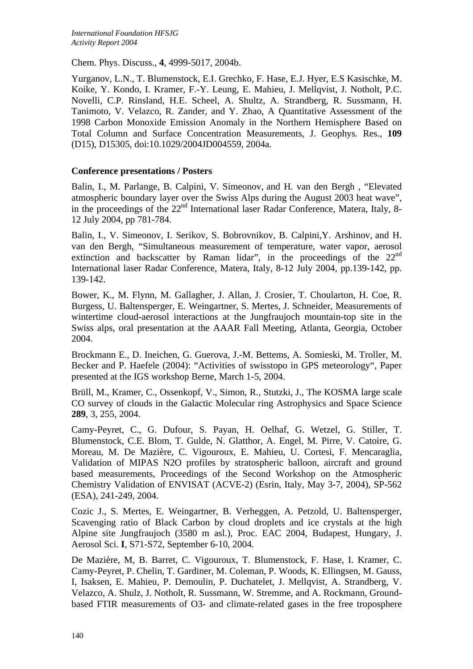Chem. Phys. Discuss., **4**, 4999-5017, 2004b.

Yurganov, L.N., T. Blumenstock, E.I. Grechko, F. Hase, E.J. Hyer, E.S Kasischke, M. Koike, Y. Kondo, I. Kramer, F.-Y. Leung, E. Mahieu, J. Mellqvist, J. Notholt, P.C. Novelli, C.P. Rinsland, H.E. Scheel, A. Shultz, A. Strandberg, R. Sussmann, H. Tanimoto, V. Velazco, R. Zander, and Y. Zhao, A Quantitative Assessment of the 1998 Carbon Monoxide Emission Anomaly in the Northern Hemisphere Based on Total Column and Surface Concentration Measurements, J. Geophys. Res., **109** (D15), D15305, doi:10.1029/2004JD004559, 2004a.

### **Conference presentations / Posters**

Balin, I., M. Parlange, B. Calpini, V. Simeonov, and H. van den Bergh , "Elevated atmospheric boundary layer over the Swiss Alps during the August 2003 heat wave", in the proceedings of the  $22<sup>nd</sup>$  International laser Radar Conference, Matera, Italy, 8-12 July 2004, pp 781-784.

Balin, I., V. Simeonov, I. Serikov, S. Bobrovnikov, B. Calpini,Y. Arshinov, and H. van den Bergh, "Simultaneous measurement of temperature, water vapor, aerosol extinction and backscatter by Raman lidar", in the proceedings of the  $22<sup>nd</sup>$ International laser Radar Conference, Matera, Italy, 8-12 July 2004, pp.139-142, pp. 139-142.

Bower, K., M. Flynn, M. Gallagher, J. Allan, J. Crosier, T. Choularton, H. Coe, R. Burgess, U. Baltensperger, E. Weingartner, S. Mertes, J. Schneider, Measurements of wintertime cloud-aerosol interactions at the Jungfraujoch mountain-top site in the Swiss alps, oral presentation at the AAAR Fall Meeting, Atlanta, Georgia, October 2004.

Brockmann E., D. Ineichen, G. Guerova, J.-M. Bettems, A. Somieski, M. Troller, M. Becker and P. Haefele (2004): "Activities of swisstopo in GPS meteorology", Paper presented at the IGS workshop Berne, March 1-5, 2004.

Brüll, M., Kramer, C., Ossenkopf, V., Simon, R., Stutzki, J., The KOSMA large scale CO survey of clouds in the Galactic Molecular ring Astrophysics and Space Science **289**, 3, 255, 2004.

Camy-Peyret, C., G. Dufour, S. Payan, H. Oelhaf, G. Wetzel, G. Stiller, T. Blumenstock, C.E. Blom, T. Gulde, N. Glatthor, A. Engel, M. Pirre, V. Catoire, G. Moreau, M. De Mazière, C. Vigouroux, E. Mahieu, U. Cortesi, F. Mencaraglia, Validation of MIPAS N2O profiles by stratospheric balloon, aircraft and ground based measurements, Proceedings of the Second Workshop on the Atmospheric Chemistry Validation of ENVISAT (ACVE-2) (Esrin, Italy, May 3-7, 2004), SP-562 (ESA), 241-249, 2004.

Cozic J., S. Mertes, E. Weingartner, B. Verheggen, A. Petzold, U. Baltensperger, Scavenging ratio of Black Carbon by cloud droplets and ice crystals at the high Alpine site Jungfraujoch (3580 m asl.), Proc. EAC 2004, Budapest, Hungary, J. Aerosol Sci. **I**, S71-S72, September 6-10, 2004.

De Mazière, M, B. Barret, C. Vigouroux, T. Blumenstock, F. Hase, I. Kramer, C. Camy-Peyret, P. Chelin, T. Gardiner, M. Coleman, P. Woods, K. Ellingsen, M. Gauss, I, Isaksen, E. Mahieu, P. Demoulin, P. Duchatelet, J. Mellqvist, A. Strandberg, V. Velazco, A. Shulz, J. Notholt, R. Sussmann, W. Stremme, and A. Rockmann, Groundbased FTIR measurements of O3- and climate-related gases in the free troposphere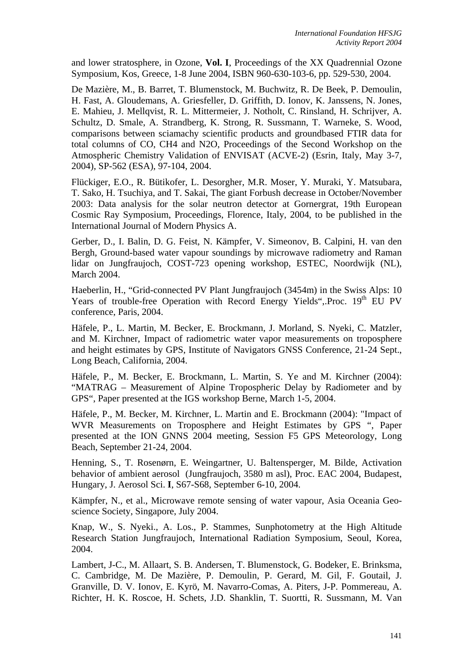and lower stratosphere, in Ozone, **Vol. I**, Proceedings of the XX Quadrennial Ozone Symposium, Kos, Greece, 1-8 June 2004, ISBN 960-630-103-6, pp. 529-530, 2004.

De Mazière, M., B. Barret, T. Blumenstock, M. Buchwitz, R. De Beek, P. Demoulin, H. Fast, A. Gloudemans, A. Griesfeller, D. Griffith, D. Ionov, K. Janssens, N. Jones, E. Mahieu, J. Mellqvist, R. L. Mittermeier, J. Notholt, C. Rinsland, H. Schrijver, A. Schultz, D. Smale, A. Strandberg, K. Strong, R. Sussmann, T. Warneke, S. Wood, comparisons between sciamachy scientific products and groundbased FTIR data for total columns of CO, CH4 and N2O, Proceedings of the Second Workshop on the Atmospheric Chemistry Validation of ENVISAT (ACVE-2) (Esrin, Italy, May 3-7, 2004), SP-562 (ESA), 97-104, 2004.

Flückiger, E.O., R. Bütikofer, L. Desorgher, M.R. Moser, Y. Muraki, Y. Matsubara, T. Sako, H. Tsuchiya, and T. Sakai, The giant Forbush decrease in October/November 2003: Data analysis for the solar neutron detector at Gornergrat, 19th European Cosmic Ray Symposium, Proceedings, Florence, Italy, 2004, to be published in the International Journal of Modern Physics A.

Gerber, D., I. Balin, D. G. Feist, N. Kämpfer, V. Simeonov, B. Calpini, H. van den Bergh, Ground-based water vapour soundings by microwave radiometry and Raman lidar on Jungfraujoch, COST-723 opening workshop, ESTEC, Noordwijk (NL), March 2004.

Haeberlin, H., "Grid-connected PV Plant Jungfraujoch (3454m) in the Swiss Alps: 10 Years of trouble-free Operation with Record Energy Yields", Proc. 19<sup>th</sup> EU PV conference, Paris, 2004.

Häfele, P., L. Martin, M. Becker, E. Brockmann, J. Morland, S. Nyeki, C. Matzler, and M. Kirchner, Impact of radiometric water vapor measurements on troposphere and height estimates by GPS, Institute of Navigators GNSS Conference, 21-24 Sept., Long Beach, California, 2004.

Häfele, P., M. Becker, E. Brockmann, L. Martin, S. Ye and M. Kirchner (2004): "MATRAG – Measurement of Alpine Tropospheric Delay by Radiometer and by GPS", Paper presented at the IGS workshop Berne, March 1-5, 2004.

Häfele, P., M. Becker, M. Kirchner, L. Martin and E. Brockmann (2004): "Impact of WVR Measurements on Troposphere and Height Estimates by GPS ", Paper presented at the ION GNNS 2004 meeting, Session F5 GPS Meteorology, Long Beach, September 21-24, 2004.

Henning, S., T. Rosenørn, E. Weingartner, U. Baltensperger, M. Bilde, Activation behavior of ambient aerosol (Jungfraujoch, 3580 m asl), Proc. EAC 2004, Budapest, Hungary, J. Aerosol Sci. **I**, S67-S68, September 6-10, 2004.

Kämpfer, N., et al., Microwave remote sensing of water vapour, Asia Oceania Geoscience Society, Singapore, July 2004.

Knap, W., S. Nyeki., A. Los., P. Stammes, Sunphotometry at the High Altitude Research Station Jungfraujoch, International Radiation Symposium, Seoul, Korea, 2004.

Lambert, J-C., M. Allaart, S. B. Andersen, T. Blumenstock, G. Bodeker, E. Brinksma, C. Cambridge, M. De Mazière, P. Demoulin, P. Gerard, M. Gil, F. Goutail, J. Granville, D. V. Ionov, E. Kyrö, M. Navarro-Comas, A. Piters, J-P. Pommereau, A. Richter, H. K. Roscoe, H. Schets, J.D. Shanklin, T. Suortti, R. Sussmann, M. Van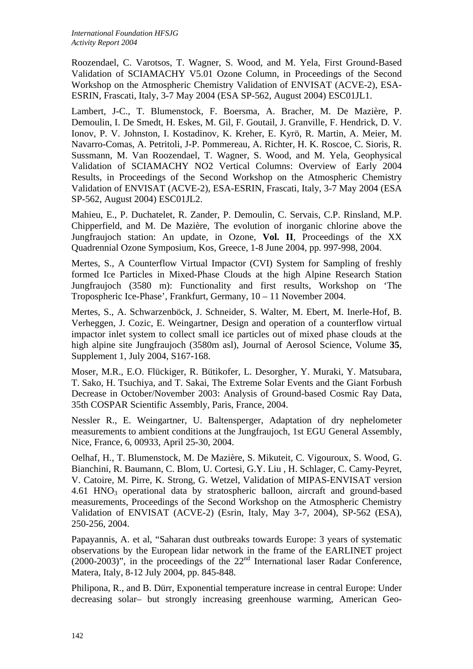Roozendael, C. Varotsos, T. Wagner, S. Wood, and M. Yela, First Ground-Based Validation of SCIAMACHY V5.01 Ozone Column, in Proceedings of the Second Workshop on the Atmospheric Chemistry Validation of ENVISAT (ACVE-2), ESA-ESRIN, Frascati, Italy, 3-7 May 2004 (ESA SP-562, August 2004) ESC01JL1.

Lambert, J-C., T. Blumenstock, F. Boersma, A. Bracher, M. De Mazière, P. Demoulin, I. De Smedt, H. Eskes, M. Gil, F. Goutail, J. Granville, F. Hendrick, D. V. Ionov, P. V. Johnston, I. Kostadinov, K. Kreher, E. Kyrö, R. Martin, A. Meier, M. Navarro-Comas, A. Petritoli, J-P. Pommereau, A. Richter, H. K. Roscoe, C. Sioris, R. Sussmann, M. Van Roozendael, T. Wagner, S. Wood, and M. Yela, Geophysical Validation of SCIAMACHY NO2 Vertical Columns: Overview of Early 2004 Results, in Proceedings of the Second Workshop on the Atmospheric Chemistry Validation of ENVISAT (ACVE-2), ESA-ESRIN, Frascati, Italy, 3-7 May 2004 (ESA SP-562, August 2004) ESC01JL2.

Mahieu, E., P. Duchatelet, R. Zander, P. Demoulin, C. Servais, C.P. Rinsland, M.P. Chipperfield, and M. De Mazière, The evolution of inorganic chlorine above the Jungfraujoch station: An update, in Ozone, **Vol. II**, Proceedings of the XX Quadrennial Ozone Symposium, Kos, Greece, 1-8 June 2004, pp. 997-998, 2004.

Mertes, S., A Counterflow Virtual Impactor (CVI) System for Sampling of freshly formed Ice Particles in Mixed-Phase Clouds at the high Alpine Research Station Jungfraujoch (3580 m): Functionality and first results, Workshop on 'The Tropospheric Ice-Phase', Frankfurt, Germany, 10 – 11 November 2004.

Mertes, S., A. Schwarzenböck, J. Schneider, S. Walter, M. Ebert, M. Inerle-Hof, B. Verheggen, J. Cozic, E. Weingartner, Design and operation of a counterflow virtual impactor inlet system to collect small ice particles out of mixed phase clouds at the high alpine site Jungfraujoch (3580m asl), Journal of Aerosol Science, Volume **35**, Supplement 1, July 2004, S167-168.

Moser, M.R., E.O. Flückiger, R. Bütikofer, L. Desorgher, Y. Muraki, Y. Matsubara, T. Sako, H. Tsuchiya, and T. Sakai, The Extreme Solar Events and the Giant Forbush Decrease in October/November 2003: Analysis of Ground-based Cosmic Ray Data, 35th COSPAR Scientific Assembly, Paris, France, 2004.

Nessler R., E. Weingartner, U. Baltensperger, Adaptation of dry nephelometer measurements to ambient conditions at the Jungfraujoch, 1st EGU General Assembly, Nice, France, 6, 00933, April 25-30, 2004.

Oelhaf, H., T. Blumenstock, M. De Mazière, S. Mikuteit, C. Vigouroux, S. Wood, G. Bianchini, R. Baumann, C. Blom, U. Cortesi, G.Y. Liu , H. Schlager, C. Camy-Peyret, V. Catoire, M. Pirre, K. Strong, G. Wetzel, Validation of MIPAS-ENVISAT version  $4.61$  HNO<sub>3</sub> operational data by stratospheric balloon, aircraft and ground-based measurements, Proceedings of the Second Workshop on the Atmospheric Chemistry Validation of ENVISAT (ACVE-2) (Esrin, Italy, May 3-7, 2004), SP-562 (ESA), 250-256, 2004.

Papayannis, A. et al, "Saharan dust outbreaks towards Europe: 3 years of systematic observations by the European lidar network in the frame of the EARLINET project (2000-2003)", in the proceedings of the 22<sup>nd</sup> International laser Radar Conference, Matera, Italy, 8-12 July 2004, pp. 845-848.

Philipona, R., and B. Dürr, Exponential temperature increase in central Europe: Under decreasing solar– but strongly increasing greenhouse warming, American Geo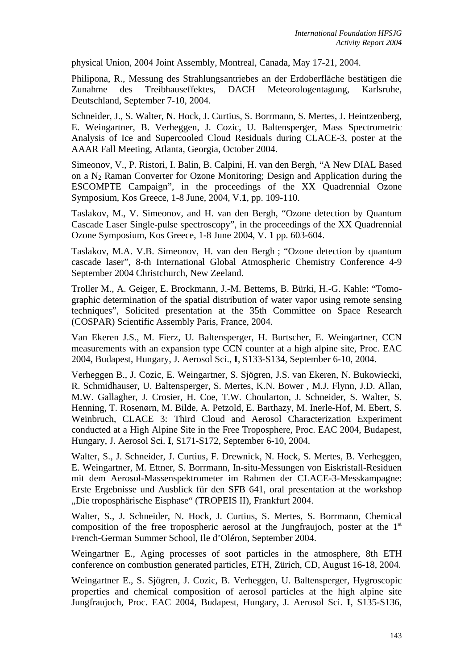physical Union, 2004 Joint Assembly, Montreal, Canada, May 17-21, 2004.

Philipona, R., Messung des Strahlungsantriebes an der Erdoberfläche bestätigen die Zunahme des Treibhauseffektes, DACH Meteorologentagung, Karlsruhe, Deutschland, September 7-10, 2004.

Schneider, J., S. Walter, N. Hock, J. Curtius, S. Borrmann, S. Mertes, J. Heintzenberg, E. Weingartner, B. Verheggen, J. Cozic, U. Baltensperger, Mass Spectrometric Analysis of Ice and Supercooled Cloud Residuals during CLACE-3, poster at the AAAR Fall Meeting, Atlanta, Georgia, October 2004.

Simeonov, V., P. Ristori, I. Balin, B. Calpini, H. van den Bergh, "A New DIAL Based on a N2 Raman Converter for Ozone Monitoring; Design and Application during the ESCOMPTE Campaign", in the proceedings of the XX Quadrennial Ozone Symposium, Kos Greece, 1-8 June, 2004, V.**1**, pp. 109-110.

Taslakov, M., V. Simeonov, and H. van den Bergh, "Ozone detection by Quantum Cascade Laser Single-pulse spectroscopy", in the proceedings of the XX Quadrennial Ozone Symposium, Kos Greece, 1-8 June 2004, V. **1** pp. 603-604.

Taslakov, M.A. V.B. Simeonov, H. van den Bergh ; "Ozone detection by quantum cascade laser", 8-th International Global Atmospheric Chemistry Conference 4-9 September 2004 Christchurch, New Zeeland.

Troller M., A. Geiger, E. Brockmann, J.-M. Bettems, B. Bürki, H.-G. Kahle: "Tomographic determination of the spatial distribution of water vapor using remote sensing techniques", Solicited presentation at the 35th Committee on Space Research (COSPAR) Scientific Assembly Paris, France, 2004.

Van Ekeren J.S., M. Fierz, U. Baltensperger, H. Burtscher, E. Weingartner, CCN measurements with an expansion type CCN counter at a high alpine site, Proc. EAC 2004, Budapest, Hungary, J. Aerosol Sci., **I**, S133-S134, September 6-10, 2004.

Verheggen B., J. Cozic, E. Weingartner, S. Sjögren, J.S. van Ekeren, N. Bukowiecki, R. Schmidhauser, U. Baltensperger, S. Mertes, K.N. Bower , M.J. Flynn, J.D. Allan, M.W. Gallagher, J. Crosier, H. Coe, T.W. Choularton, J. Schneider, S. Walter, S. Henning, T. Rosenørn, M. Bilde, A. Petzold, E. Barthazy, M. Inerle-Hof, M. Ebert, S. Weinbruch, CLACE 3: Third Cloud and Aerosol Characterization Experiment conducted at a High Alpine Site in the Free Troposphere, Proc. EAC 2004, Budapest, Hungary, J. Aerosol Sci. **I**, S171-S172, September 6-10, 2004.

Walter, S., J. Schneider, J. Curtius, F. Drewnick, N. Hock, S. Mertes, B. Verheggen, E. Weingartner, M. Ettner, S. Borrmann, In-situ-Messungen von Eiskristall-Residuen mit dem Aerosol-Massenspektrometer im Rahmen der CLACE-3-Messkampagne: Erste Ergebnisse und Ausblick für den SFB 641, oral presentation at the workshop "Die troposphärische Eisphase" (TROPEIS II), Frankfurt 2004.

Walter, S., J. Schneider, N. Hock, J. Curtius, S. Mertes, S. Borrmann, Chemical composition of the free tropospheric aerosol at the Jungfraujoch, poster at the  $1<sup>st</sup>$ French-German Summer School, Ile d'Oléron, September 2004.

Weingartner E., Aging processes of soot particles in the atmosphere, 8th ETH conference on combustion generated particles, ETH, Zürich, CD, August 16-18, 2004.

Weingartner E., S. Sjögren, J. Cozic, B. Verheggen, U. Baltensperger, Hygroscopic properties and chemical composition of aerosol particles at the high alpine site Jungfraujoch, Proc. EAC 2004, Budapest, Hungary, J. Aerosol Sci. **I**, S135-S136,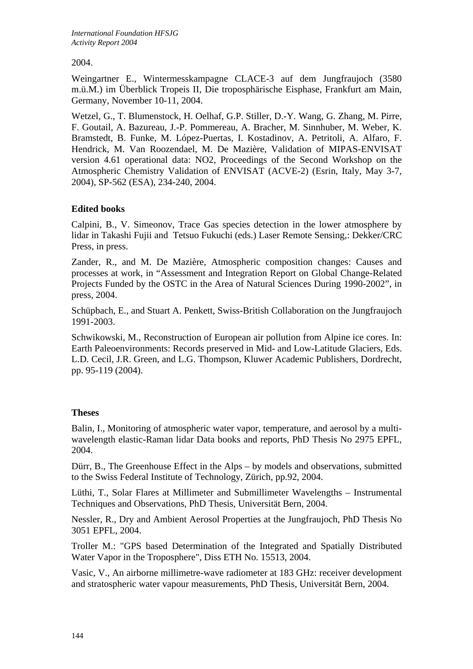2004.

Weingartner E., Wintermesskampagne CLACE-3 auf dem Jungfraujoch (3580 m.ü.M.) im Überblick Tropeis II, Die troposphärische Eisphase, Frankfurt am Main, Germany, November 10-11, 2004.

Wetzel, G., T. Blumenstock, H. Oelhaf, G.P. Stiller, D.-Y. Wang, G. Zhang, M. Pirre, F. Goutail, A. Bazureau, J.-P. Pommereau, A. Bracher, M. Sinnhuber, M. Weber, K. Bramstedt, B. Funke, M. López-Puertas, I. Kostadinov, A. Petritoli, A. Alfaro, F. Hendrick, M. Van Roozendael, M. De Mazière, Validation of MIPAS-ENVISAT version 4.61 operational data: NO2, Proceedings of the Second Workshop on the Atmospheric Chemistry Validation of ENVISAT (ACVE-2) (Esrin, Italy, May 3-7, 2004), SP-562 (ESA), 234-240, 2004.

## **Edited books**

Calpini, B., V. Simeonov, Trace Gas species detection in the lower atmosphere by lidar in Takashi Fujii and Tetsuo Fukuchi (eds.) Laser Remote Sensing,: Dekker/CRC Press, in press.

Zander, R., and M. De Mazière, Atmospheric composition changes: Causes and processes at work, in "Assessment and Integration Report on Global Change-Related Projects Funded by the OSTC in the Area of Natural Sciences During 1990-2002", in press, 2004.

Schüpbach, E., and Stuart A. Penkett, Swiss-British Collaboration on the Jungfraujoch 1991-2003.

Schwikowski, M., Reconstruction of European air pollution from Alpine ice cores. In: Earth Paleoenvironments: Records preserved in Mid- and Low-Latitude Glaciers, Eds. L.D. Cecil, J.R. Green, and L.G. Thompson, Kluwer Academic Publishers, Dordrecht, pp. 95-119 (2004).

## **Theses**

Balin, I., Monitoring of atmospheric water vapor, temperature, and aerosol by a multiwavelength elastic-Raman lidar Data books and reports, PhD Thesis No 2975 EPFL, 2004.

Dürr, B., The Greenhouse Effect in the Alps – by models and observations, submitted to the Swiss Federal Institute of Technology, Zürich, pp.92, 2004.

Lüthi, T., Solar Flares at Millimeter and Submillimeter Wavelengths – Instrumental Techniques and Observations, PhD Thesis, Universität Bern, 2004.

Nessler, R., Dry and Ambient Aerosol Properties at the Jungfraujoch, PhD Thesis No 3051 EPFL, 2004.

[Troller](http://www.ggl.baug.ethz.ch/staff/troller) M.: "GPS based Determination of the Integrated and Spatially Distributed Water Vapor in the Troposphere", Diss [ETH](http://www.ethz.ch/) No. 15513, 2004.

Vasic, V., An airborne millimetre-wave radiometer at 183 GHz: receiver development and stratospheric water vapour measurements, PhD Thesis, Universität Bern, 2004.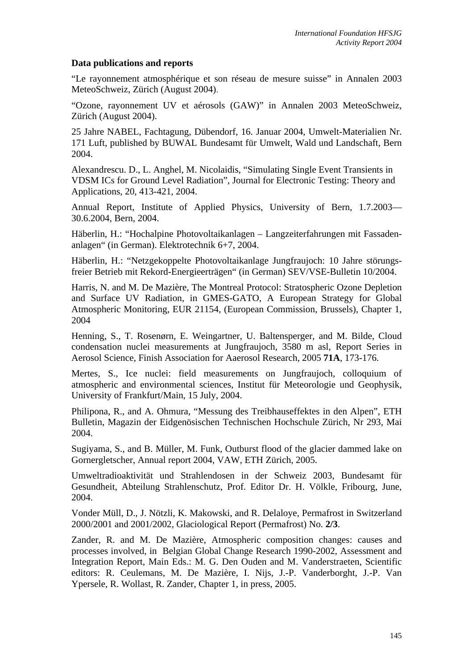### **Data publications and reports**

"Le rayonnement atmosphérique et son réseau de mesure suisse" in Annalen 2003 MeteoSchweiz, Zürich (August 2004).

"Ozone, rayonnement UV et aérosols (GAW)" in Annalen 2003 MeteoSchweiz, Zürich (August 2004).

25 Jahre NABEL, Fachtagung, Dübendorf, 16. Januar 2004, Umwelt-Materialien Nr. 171 Luft, published by BUWAL Bundesamt für Umwelt, Wald und Landschaft, Bern 2004.

Alexandrescu. D., L. Anghel, M. Nicolaidis, "Simulating Single Event Transients in VDSM ICs for Ground Level Radiation", Journal for Electronic Testing: Theory and Applications, 20, 413-421, 2004.

Annual Report, Institute of Applied Physics, University of Bern, 1.7.2003— 30.6.2004, Bern, 2004.

Häberlin, H.: "Hochalpine Photovoltaikanlagen – Langzeiterfahrungen mit Fassadenanlagen" (in German). Elektrotechnik 6+7, 2004.

Häberlin, H.: "Netzgekoppelte Photovoltaikanlage Jungfraujoch: 10 Jahre störungsfreier Betrieb mit Rekord-Energieerträgen" (in German) SEV/VSE-Bulletin 10/2004.

Harris, N. and M. De Mazière, The Montreal Protocol: Stratospheric Ozone Depletion and Surface UV Radiation, in GMES-GATO, A European Strategy for Global Atmospheric Monitoring, EUR 21154, (European Commission, Brussels), Chapter 1, 2004

Henning, S., T. Rosenørn, E. Weingartner, U. Baltensperger, and M. Bilde, Cloud condensation nuclei measurements at Jungfraujoch, 3580 m asl, Report Series in Aerosol Science, Finish Association for Aaerosol Research, 2005 **71A**, 173-176.

Mertes, S., Ice nuclei: field measurements on Jungfraujoch, colloquium of atmospheric and environmental sciences, Institut für Meteorologie und Geophysik, University of Frankfurt/Main, 15 July, 2004.

Philipona, R., and A. Ohmura, "Messung des Treibhauseffektes in den Alpen", ETH Bulletin, Magazin der Eidgenösischen Technischen Hochschule Zürich, Nr 293, Mai 2004.

Sugiyama, S., and B. Müller, M. Funk, Outburst flood of the glacier dammed lake on Gornergletscher, Annual report 2004, VAW, ETH Zürich, 2005.

Umweltradioaktivität und Strahlendosen in der Schweiz 2003, Bundesamt für Gesundheit, Abteilung Strahlenschutz, Prof. Editor Dr. H. Völkle, Fribourg, June, 2004.

Vonder Müll, D., J. Nötzli, K. Makowski, and R. Delaloye, Permafrost in Switzerland 2000/2001 and 2001/2002, Glaciological Report (Permafrost) No. **2/3**.

Zander, R. and M. De Mazière, Atmospheric composition changes: causes and processes involved, in Belgian Global Change Research 1990-2002, Assessment and Integration Report, Main Eds.: M. G. Den Ouden and M. Vanderstraeten, Scientific editors: R. Ceulemans, M. De Mazière, I. Nijs, J.-P. Vanderborght, J.-P. Van Ypersele, R. Wollast, R. Zander, Chapter 1, in press, 2005.